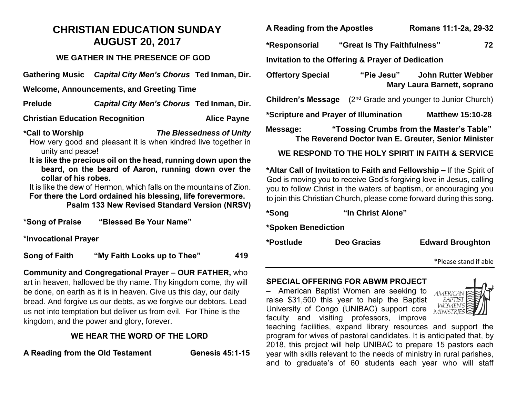# **CHRISTIAN EDUCATION SUNDAY AUGUST 20, 2017**

### **WE GATHER IN THE PRESENCE OF GOD**

**Gathering Music** *Capital City Men's Chorus* **Ted Inman, Dir.**

**Welcome, Announcements, and Greeting Time**

**Prelude** *Capital City Men's Chorus* **Ted Inman, Dir.**

**Christian Education Recognition Mate Alice Payne** 

**\*Call to Worship** *The Blessedness of Unity* How very good and pleasant it is when kindred live together in unity and peace!

**It is like the precious oil on the head, running down upon the beard, on the beard of Aaron, running down over the collar of his robes.**

It is like the dew of Hermon, which falls on the mountains of Zion. **For there the Lord ordained his blessing, life forevermore.**

**Psalm 133 New Revised Standard Version (NRSV)**

**\*Song of Praise "Blessed Be Your Name"**

**\*Invocational Prayer**

**Song of Faith "My Faith Looks up to Thee" 419**

**Community and Congregational Prayer – OUR FATHER,** who art in heaven, hallowed be thy name. Thy kingdom come, thy will be done, on earth as it is in heaven. Give us this day, our daily bread. And forgive us our debts, as we forgive our debtors. Lead us not into temptation but deliver us from evil. For Thine is the kingdom, and the power and glory, forever.

## **WE HEAR THE WORD OF THE LORD**

A Reading from the Old Testament **Genesis 45:1-15** 

**A Reading from the Apostles Romans 11:1-2a, 29-32**

**\*Responsorial "Great Is Thy Faithfulness" 72**

**Invitation to the Offering & Prayer of Dedication**

**Offertory Special "Pie Jesu" John Rutter Webber Mary Laura Barnett, soprano**

**Children's Message** (2<sup>nd</sup> Grade and younger to Junior Church)

**\*Scripture and Prayer of Illumination Matthew 15:10-28** 

**Message: "Tossing Crumbs from the Master's Table" The Reverend Doctor Ivan E. Greuter, Senior Minister**

**WE RESPOND TO THE HOLY SPIRIT IN FAITH & SERVICE**

**\*Altar Call of Invitation to Faith and Fellowship –** If the Spirit of God is moving you to receive God's forgiving love in Jesus, calling you to follow Christ in the waters of baptism, or encouraging you to join this Christian Church, please come forward during this song.

| *Song               | "In Christ Alone" |                         |
|---------------------|-------------------|-------------------------|
| *Spoken Benediction |                   |                         |
| *Postlude           | Deo Gracias       | <b>Edward Broughton</b> |
|                     |                   | *Please stand if able   |

### **SPECIAL OFFERING FOR ABWM PROJECT**

– American Baptist Women are seeking to raise \$31,500 this year to help the Baptist University of Congo (UNIBAC) support core faculty and visiting professors, improve



able

teaching facilities, expand library resources and support the program for wives of pastoral candidates. It is anticipated that, by 2018, this project will help UNIBAC to prepare 15 pastors each year with skills relevant to the needs of ministry in rural parishes, and to graduate's of 60 students each year who will staff